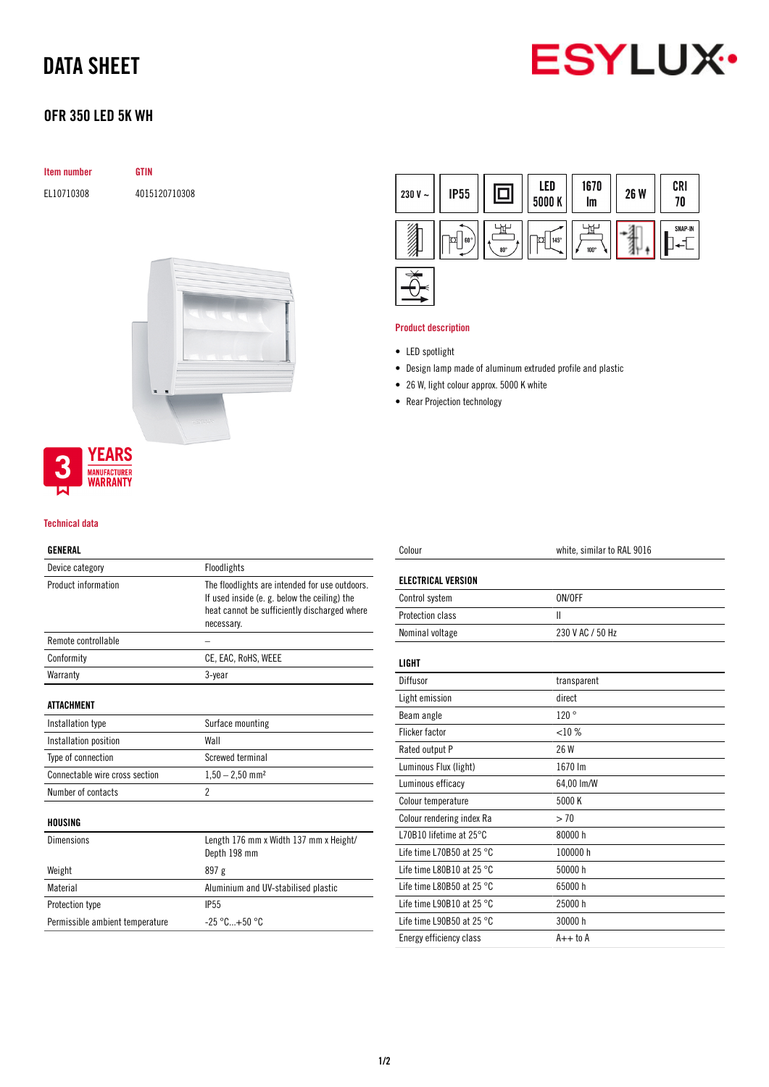# DATA SHEET



## OFR 350 LED 5K WH

| <b>Item number</b> | <b>GTIN</b>   |
|--------------------|---------------|
| EL10710308         | 4015120710308 |
|                    |               |
|                    |               |
|                    |               |





### Technical data

## GENERAL

| Device category                 | Floodlights                                                                                                                                                 |
|---------------------------------|-------------------------------------------------------------------------------------------------------------------------------------------------------------|
| Product information             | The floodlights are intended for use outdoors.<br>If used inside (e.g. below the ceiling) the<br>heat cannot be sufficiently discharged where<br>necessary. |
| Remote controllable             |                                                                                                                                                             |
| Conformity                      | CE, EAC, RoHS, WEEE                                                                                                                                         |
| Warranty                        | 3-year                                                                                                                                                      |
| ATTACHMENT                      |                                                                                                                                                             |
| Installation type               | Surface mounting                                                                                                                                            |
| Installation position           | Wall                                                                                                                                                        |
| Type of connection              | Screwed terminal                                                                                                                                            |
| Connectable wire cross section  | $1,50 - 2,50$ mm <sup>2</sup>                                                                                                                               |
| Number of contacts              | $\overline{2}$                                                                                                                                              |
| HOUSING                         |                                                                                                                                                             |
| <b>Dimensions</b>               | Length 176 mm x Width 137 mm x Height/<br>Depth 198 mm                                                                                                      |
| Weight                          | 897 g                                                                                                                                                       |
| Material                        | Aluminium and UV-stabilised plastic                                                                                                                         |
| <b>Protection type</b>          | <b>IP55</b>                                                                                                                                                 |
| Permissible ambient temperature | $-25 °C+50 °C$                                                                                                                                              |
|                                 |                                                                                                                                                             |



## Product description

- LED spotlight
- Design lamp made of aluminum extruded profile and plastic
- 26 W, light colour approx. 5000 K white
- Rear Projection technology

| Colour                              | white, similar to RAL 9016 |
|-------------------------------------|----------------------------|
| <b>ELECTRICAL VERSION</b>           |                            |
| Control system                      | ON/OFF                     |
| <b>Protection class</b>             | Ш                          |
| Nominal voltage                     | 230 V AC / 50 Hz           |
| <b>LIGHT</b>                        |                            |
| Diffusor                            | transparent                |
| Light emission                      | direct                     |
| Beam angle                          | 120°                       |
| <b>Flicker factor</b>               | $< 10 \%$                  |
| Rated output P                      | 26 W                       |
| Luminous Flux (light)               | 1670 lm                    |
| Luminous efficacy                   | 64,00 lm/W                 |
| Colour temperature                  | 5000 K                     |
| Colour rendering index Ra           | > 70                       |
| L70B10 lifetime at $25^{\circ}$ C   | 80000 h                    |
| Life time L70B50 at 25 $^{\circ}$ C | 100000 h                   |
| Life time L80B10 at 25 $^{\circ}$ C | 50000 h                    |
| Life time L80B50 at 25 $^{\circ}$ C | 65000h                     |
| Life time L90B10 at 25 °C           | 25000 h                    |
| Life time L90B50 at 25 $^{\circ}$ C | 30000 h                    |
| Energy efficiency class             | $A++$ to $A$               |
|                                     |                            |